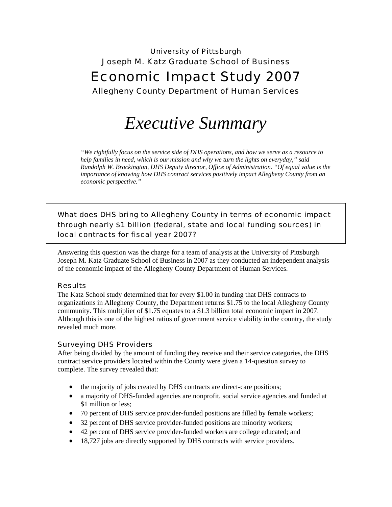# University of Pittsburgh Joseph M. Katz Graduate School of Business Economic Impact Study 2007 Allegheny County Department of Human Services

# *Executive Summary*

*"We rightfully focus on the service side of DHS operations, and how we serve as a resource to help families in need, which is our mission and why we turn the lights on everyday," said Randolph W. Brockington, DHS Deputy director, Office of Administration. "Of equal value is the importance of knowing how DHS contract services positively impact Allegheny County from an economic perspective."* 

What does DHS bring to Allegheny County in terms of economic impact through nearly \$1 billion (federal, state and local funding sources) in local contracts for fiscal year 2007?

Answering this question was the charge for a team of analysts at the University of Pittsburgh Joseph M. Katz Graduate School of Business in 2007 as they conducted an independent analysis of the economic impact of the Allegheny County Department of Human Services.

#### Results

The Katz School study determined that for every \$1.00 in funding that DHS contracts to organizations in Allegheny County, the Department returns \$1.75 to the local Allegheny County community. This multiplier of \$1.75 equates to a \$1.3 billion total economic impact in 2007. Although this is one of the highest ratios of government service viability in the country, the study revealed much more.

#### Surveying DHS Providers

After being divided by the amount of funding they receive and their service categories, the DHS contract service providers located within the County were given a 14-question survey to complete. The survey revealed that:

- the majority of jobs created by DHS contracts are direct-care positions;
- a majority of DHS-funded agencies are nonprofit, social service agencies and funded at \$1 million or less;
- 70 percent of DHS service provider-funded positions are filled by female workers;
- 32 percent of DHS service provider-funded positions are minority workers;
- 42 percent of DHS service provider-funded workers are college educated; and
- 18,727 jobs are directly supported by DHS contracts with service providers.